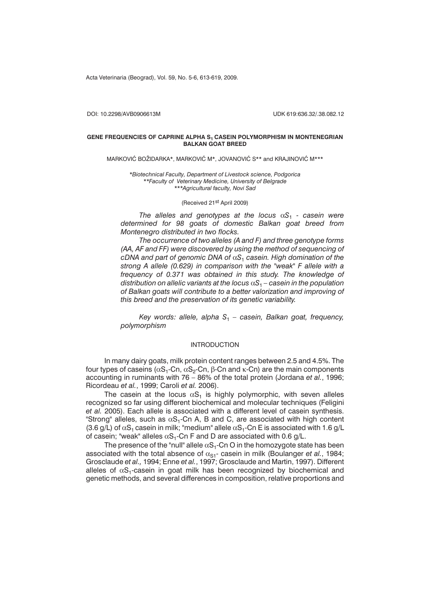Acta Veterinaria (Beograd), Vol. 59, No. 5-6, 613-619, 2009.

DOI: 10.2298/AVB0906613M UDK 619:636.32/.38.082.12

## **GENE FREQUENCIES OF CAPRINE ALPHA S<sub>1</sub> CASEIN POLYMORPHISM IN MONTENEGRIAN BALKAN GOAT BREED**

MARKOVIĆ BOŽIDARKA\*, MARKOVIĆ M\*, JOVANOVIĆ S\*\* and KRAJINOVIĆ M\*\*\*

*\*Biotechnical Faculty, Department of Livestock science, Podgorica \*\*Faculty of Veterinary Medicine, University of Belgrade \*\*\*Agricultural faculty, Novi Sad*

### (Received 21st April 2009)

*The alleles and genotypes at the locus*  $\alpha S_1$  *- casein were determined for 98 goats of domestic Balkan goat breed from Montenegro distributed in two flocks.*

*The occurrence of two alleles (A and F) and three genotype forms (AA, AF and FF) were discovered by using the method of sequencing of cDNA and part of genomic DNA of S*<sup>1</sup> *casein. High domination of the strong A allele (0.629) in comparison with the "weak" F allele with a frequency of 0.371 was obtained in this study. The knowledge of distribution on allelic variants at the locus*  $\alpha S_1$  – *casein in the population of Balkan goats will contribute to a better valorization and improving of this breed and the preservation of its genetic variability.*

*Key words: allele, alpha S*<sup>1</sup> *– casein, Balkan goat, frequency, polymorphism*

## INTRODUCTION

In many dairy goats, milk protein content ranges between 2.5 and 4.5%. The four types of caseins (α $S_1$ -Cn, α $S_2$ -Cn, β-Cn and κ-Cn) are the main components accounting in ruminants with 76 – 86% of the total protein (Jordana *et al.*, 1996; Ricordeau *et al.*, 1999; Caroli *et al.* 2006).

The casein at the locus  $\alpha S_1$  is highly polymorphic, with seven alleles recognized so far using different biochemical and molecular techniques (Feligini *et al.* 2005). Each allele is associated with a different level of casein synthesis. "Strong" alleles, such as  $\alpha S_1$ -Cn A, B and C, are associated with high content (3.6 g/L) of  $\alpha S_1$  casein in milk; "medium" allele  $\alpha S_1$ -Cn E is associated with 1.6 g/L of casein; "weak" alleles  $\alpha S_1$ -Cn F and D are associated with 0.6 g/L.

The presence of the "null" allele  $\alpha S_1$ -Cn O in the homozygote state has been associated with the total absence of  $\alpha_{\text{S1}}$ - casein in milk (Boulanger *et al.*, 1984; Grosclaude *et al.,* 1994; Enne *et al.*, 1997; Grosclaude and Martin, 1997). Different alleles of  $\alpha S_1$ -casein in goat milk has been recognized by biochemical and genetic methods, and several differences in composition, relative proportions and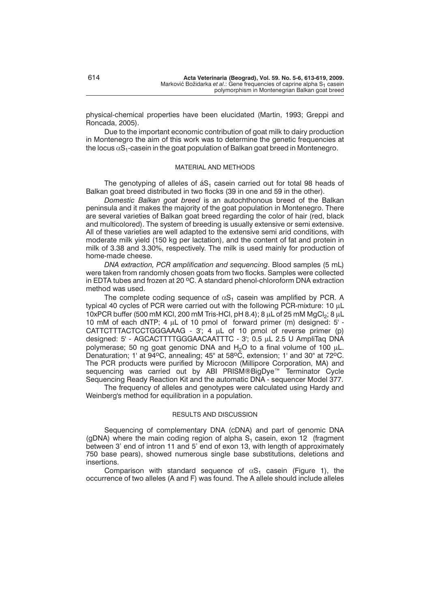physical-chemical properties have been elucidated (Martin, 1993; Greppi and Roncada, 2005).

Due to the important economic contribution of goat milk to dairy production in Montenegro the aim of this work was to determine the genetic frequencies at the locus  $\alpha S_1$ -casein in the goat population of Balkan goat breed in Montenegro.

#### MATERIAL AND METHODS

The genotyping of alleles of  $\acute{a}S_1$  casein carried out for total 98 heads of Balkan goat breed distributed in two flocks (39 in one and 59 in the other).

*Domestic Balkan goat breed* is an autochthonous breed of the Balkan peninsula and it makes the majority of the goat population in Montenegro. There are several varieties of Balkan goat breed regarding the color of hair (red, black and multicolored). The system of breeding is usually extensive or semi extensive. All of these varieties are well adapted to the extensive semi arid conditions, with moderate milk yield (150 kg per lactation), and the content of fat and protein in milk of 3.38 and 3.30%, respectively. The milk is used mainly for production of home-made cheese.

*DNA extraction, PCR amplification and sequencing*. Blood samples (5 mL) were taken from randomly chosen goats from two flocks. Samples were collected in EDTA tubes and frozen at 20  $^{\circ}$ C. A standard phenol-chloroform DNA extraction method was used.

The complete coding sequence of  $\alpha S_1$  casein was amplified by PCR. A typical 40 cycles of PCR were carried out with the following PCR-mixture: 10  $\mu$ L 10xPCR buffer (500 mM KCl, 200 mM Tris-HCl, pH 8.4); 8  $\mu$ L of 25 mM MgCl<sub>2</sub>; 8  $\mu$ L 10 mM of each dNTP; 4  $\mu$ L of 10 pmol of forward primer (m) designed: 5' - $CATTCTTTACTCCTGGGAAG - 3$ ; 4  $\mu$ L of 10 pmol of reverse primer (p) designed: 5' - AGCACTTTTGGGAACAATTTC - 3'; 0.5 µL 2.5 U AmpliTag DNA polymerase; 50 ng goat genomic DNA and  $H_2O$  to a final volume of 100  $\mu$ L. Denaturation; 1' at  $94^{\circ}$ C, annealing; 45" at  $58^{\circ}$ C, extension; 1' and 30" at  $72^{\circ}$ C. The PCR products were purified by Microcon (Millipore Corporation, MA) and sequencing was carried out by ABI PRISM®BigDye<sup>™</sup> Terminator Cycle Sequencing Ready Reaction Kit and the automatic DNA - sequencer Model 377.

The frequency of alleles and genotypes were calculated using Hardy and Weinberg's method for equilibration in a population.

## RESULTS AND DISCUSSION

Sequencing of complementary DNA (cDNA) and part of genomic DNA (qDNA) where the main coding region of alpha  $S_1$  casein, exon 12 (fragment between 3' end of intron 11 and 5' end of exon 13, with length of approximately 750 base pears), showed numerous single base substitutions, deletions and insertions.

Comparison with standard sequence of  $\alpha S_1$  casein (Figure 1), the occurrence of two alleles (A and F) was found. The A allele should include alleles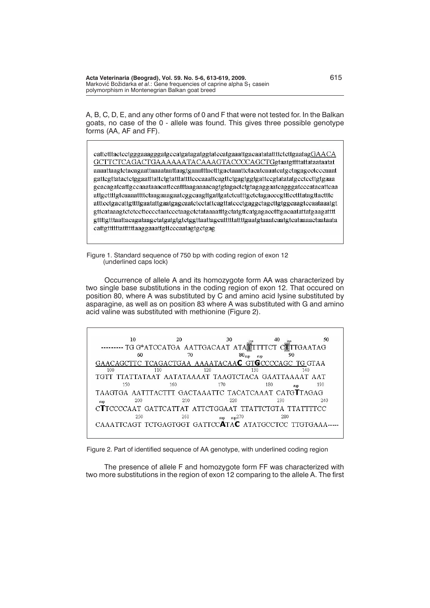A, B, C, D, E, and any other forms of 0 and F that were not tested for. In the Balkan goats, no case of the 0 - allele was found. This gives three possible genotype forms (AA, AF and FF).

cattetttacteetgggaaagggatgecatgatagatggtatecatgaaattgacaatatattttetettgaatagGAACA GCTTCTCAGACTGAAAAAATACAAAGTACCCCAGCTGgtaatgttttattataataatat aaaattaagtetaeagaattaaaattaattaagtgaaatttaetttgaetaaattetaeateaaateatgetagageeteeeaaat gattegttataetetggaatttattetgtatttatttteeeaaatteagttetgagtggtgatteegtatatatgeeteettgtgaaa gcacagatcattgccaaataaacattccatttaagaaaacagtgtagactctgtagaggaatcagggatcccatacattcaa atttcctgacattgttttgaatattgaatgagcaatctcctattcagttatccctgaggctagcttgtggcaagtccaataaatgt gttcataaagtctctccttcccctaatccctaagctctataaaatttgctatgttcatgagacctttgacaatattatgaagatttt gttttgtttaattacagataagctatgatgtgtctggttaattagcatttttattttgaatgtaaatcaatgtcataaaactaataata cattgttttttatttttttaaggaaattgttcccaatagtgctgag

Figure 1. Standard sequence of 750 bp with coding region of exon 12 (underlined caps lock)

Occurrence of allele A and its homozygote form AA was characterized by two single base substitutions in the coding region of exon 12. That occured on position 80, where A was substituted by C and amino acid lysine substituted by asparagine, as well as on position 83 where A was substituted with G and amino acid valine was substituted with methionine (Figure 2).

 $10$  $20$  $30$  $40$ 50 TG G\*ATCCATGA AATTGACAAT ATANTTTTCT CATTGAATAG  $80_{\text{sup}}$ 60  $70$ ّە∩ AAAATACAAC GTGCCCCAGC GAACAGCTTC **TCAGACTGAA** TG GTAA  $100$  $110$  $120$  $130$  $140$ TGTT TTATTATAAT AATATAAAAT TAAGTCTACA GAATTAAAAT AAT 150 160 170 180 190 TAAGTGA AATTTACTTT GACTAAATTC TACATCAAAT CATGTTAGAG 200 210 220 230 240 CTTCCCCAAT GATTCATTAT ATTCTGGAAT TTATTCTGTA TTATTTTCC 250 260  $\text{sup}$   $\text{sup}$  270 280 CAAATTCAGT TCTGAGTGGT GATTCCATAC ATATGCCTCC TTGTGAAA-----

Figure 2. Part of identified sequence of AA genotype, with underlined coding region

The presence of allele F and homozygote form FF was characterized with two more substitutions in the region of exon 12 comparing to the allele A. The first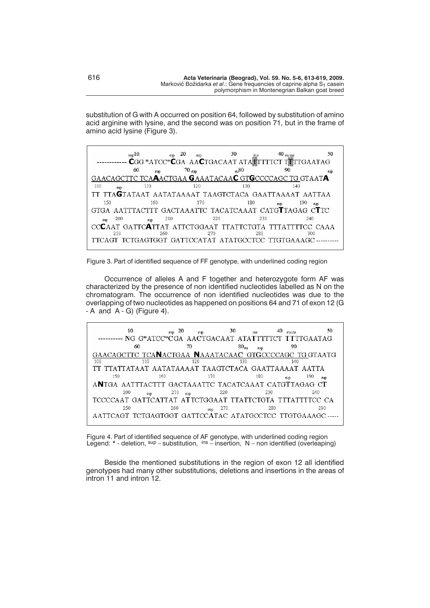substitution of G with A occurred on position 64, followed by substitution of amino acid arginine with lysine, and the second was on position 71, but in the frame of amino acid lysine (Figure 3).

| $_{\rm sup}10$                                          | $\sup$ 20        | 30         | $40 \frac{1}{\text{SUS}}$                                         | 50 |
|---------------------------------------------------------|------------------|------------|-------------------------------------------------------------------|----|
|                                                         |                  |            | <b>CGG</b> *ATCC <sup>*</sup> CGA AACTGACAAT ATATTTTCT TWITGAATAG |    |
| 60<br>sup                                               | $70 \text{ sup}$ | n80        | 90                                                                |    |
| GAACAGCTTC TCAAACTGAA GAAATACAAC GTGCCCCAGC TG GTAATA   |                  |            |                                                                   |    |
| 100<br>110<br>SMD                                       | 120              | 130        | 140                                                               |    |
| TT TTAGTATAAT AATATAAAAT TAAGTCTACA GAATTAAAAT AATTAA   |                  |            |                                                                   |    |
| 150<br>160                                              | 170              | 180        | 190<br>sup<br>sup                                                 |    |
| GTGA AATTTACTTT GACTAAATTC TACATCAAAT CATGTTAGAG CTTC   |                  |            |                                                                   |    |
| 200<br>$\sup$                                           | 210              | 220<br>230 | 240                                                               |    |
| CCCAAT GATTCATTAT ATTCTGGAAT TTATTCTGTA TTTATTTTCC CAAA |                  |            |                                                                   |    |
| 250<br>260                                              | 270              | 280        | 300                                                               |    |
| TTCAGT TCTGAGTGGT GATTCCATAT ATATGCCTCC TTGTGAAAGC-     |                  |            |                                                                   |    |

Figure 3. Part of identified sequence of FF genotype, with underlined coding region

Occurrence of alleles A and F together and heterozygote form AF was characterized by the presence of non identified nucleotides labelled as N on the chromatogram. The occurrence of non identified nucleotides was due to the overlapping of two nucleotides as happened on positions 64 and 71 of exon 12 (G  $-A$  and  $A - G$ ) (Figure 4).

| 10                                                   | $_{\rm sup}$ 20 | sup | 30            |     | 50<br>suins                                                |
|------------------------------------------------------|-----------------|-----|---------------|-----|------------------------------------------------------------|
|                                                      |                 |     |               |     | ---------- NG G*ATCC*CGA AACTGACAAT ATATTTTTCT TTTTGAATAG  |
|                                                      | 60              | 70  | $80_{\rm su}$ | sup | 90                                                         |
|                                                      |                 |     |               |     | GAACAGCTTC TCANACTGAA NAAATACAAC GTGCCCCAGC TG GTAATG      |
| 100                                                  | 110             | 120 | 130           |     | 140                                                        |
| TT TTATTATAAT AATATAAAAT TAAGTCTACA GAATTAAAAT AATTA |                 |     |               |     |                                                            |
| 150                                                  | 160             | 170 |               | 180 | 190<br>sup<br>SUD                                          |
| ANTGA AATTTACTTT GACTAAATTC TACATCAAAT CATGTTAGAG CT |                 |     |               |     |                                                            |
| 200                                                  | 210             | sup | 220           | 230 | $240 -$                                                    |
|                                                      |                 |     |               |     | TCCCCAAT GATTCATTAT ATTCTGGAAT TTATTCTGTA TTTATTTTCC CA    |
| 250                                                  | 260             | sup | 270           | 280 | 290                                                        |
|                                                      |                 |     |               |     | AATTCAGT TCTGAGTGGT GATTCCATAC ATATGCCTCC TTGTGAAAGC ----- |

Figure 4. Part of identified sequence of AF genotype, with underlined coding region Legend: \* - deletion, sup – substitution, ins – insertion, N – non identified (overleaping)

Beside the mentioned substitutions in the region of exon 12 all identified genotypes had many other substitutions, deletions and insertions in the areas of intron 11 and intron 12.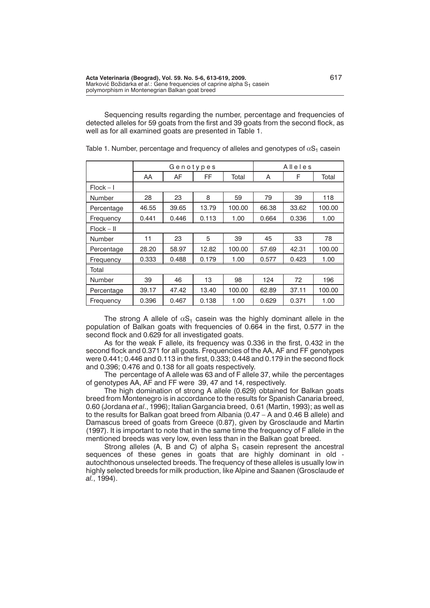Sequencing results regarding the number, percentage and frequencies of detected alleles for 59 goats from the first and 39 goats from the second flock, as well as for all examined goats are presented in Table 1.

|              | Genotypes |       |       | Alleles |       |       |        |
|--------------|-----------|-------|-------|---------|-------|-------|--------|
|              | AA        | AF    | FF.   | Total   | A     | F     | Total  |
| $Flock - I$  |           |       |       |         |       |       |        |
| Number       | 28        | 23    | 8     | 59      | 79    | 39    | 118    |
| Percentage   | 46.55     | 39.65 | 13.79 | 100.00  | 66.38 | 33.62 | 100.00 |
| Frequency    | 0.441     | 0.446 | 0.113 | 1.00    | 0.664 | 0.336 | 1.00   |
| $Flock - II$ |           |       |       |         |       |       |        |
| Number       | 11        | 23    | 5     | 39      | 45    | 33    | 78     |
| Percentage   | 28.20     | 58.97 | 12.82 | 100.00  | 57.69 | 42.31 | 100.00 |
| Frequency    | 0.333     | 0.488 | 0.179 | 1.00    | 0.577 | 0.423 | 1.00   |
| Total        |           |       |       |         |       |       |        |
| Number       | 39        | 46    | 13    | 98      | 124   | 72    | 196    |
| Percentage   | 39.17     | 47.42 | 13.40 | 100.00  | 62.89 | 37.11 | 100.00 |
| Frequency    | 0.396     | 0.467 | 0.138 | 1.00    | 0.629 | 0.371 | 1.00   |

Table 1. Number, percentage and frequency of alleles and genotypes of  $\alpha S_1$  casein

The strong A allele of  $\alpha S_1$  casein was the highly dominant allele in the population of Balkan goats with frequencies of 0.664 in the first, 0.577 in the second flock and 0.629 for all investigated goats.

As for the weak F allele, its frequency was 0.336 in the first, 0.432 in the second flock and 0.371 for all goats. Frequencies of the AA, AF and FF genotypes were 0.441; 0.446 and 0.113 in the first, 0.333; 0.448 and 0.179 in the second flock and 0.396; 0.476 and 0.138 for all goats respectively.

The percentage of A allele was 63 and of F allele 37, while the percentages of genotypes AA, AF and FF were 39, 47 and 14, respectively.

The high domination of strong A allele (0.629) obtained for Balkan goats breed from Montenegro is in accordance to the results for Spanish Canaria breed, 0.60 (Jordana *et al*., 1996); Italian Gargancia breed, 0.61 (Martin, 1993); as well as to the results for Balkan goat breed from Albania (0.47 – A and 0.46 B allele) and Damascus breed of goats from Greece (0.87), given by Grosclaude and Martin (1997). It is important to note that in the same time the frequency of F allele in the mentioned breeds was very low, even less than in the Balkan goat breed.

Strong alleles (A, B and C) of alpha  $S<sub>1</sub>$  casein represent the ancestral sequences of these genes in goats that are highly dominant in old autochthonous unselected breeds. The frequency of these alleles is usually low in highly selected breeds for milk production, like Alpine and Saanen (Grosclaude *et al.*, 1994).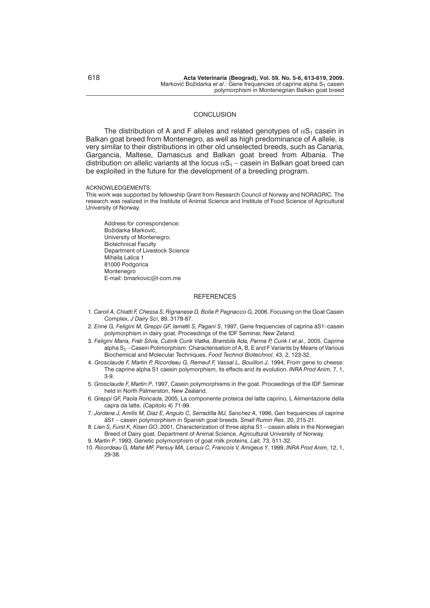### **CONCLUSION**

The distribution of A and F alleles and related genotypes of  $\alpha S_1$  casein in Balkan goat breed from Montenegro, as well as high predominance of A allele, is very similar to their distributions in other old unselected breeds, such as Canaria, Gargancia, Maltese, Damascus and Balkan goat breed from Albania. The distribution on allelic variants at the locus  $\alpha S_1$  – casein in Balkan goat breed can be exploited in the future for the development of a breeding program.

#### ACKNOWLEDGEMENTS:

This work was supported by fellowship Grant from Research Council of Norway and NORAGRIC. The research was realized in the Institute of Animal Science and Institute of Food Science of Agricultural University of Norway.

Address for correspondence: Božidarka Marković, University of Montenegro; Biotechnical Faculty Department of Livestock Science Mihaila Lalica 1 81000 Podgorica Montenegro E-mail: bmarkovic@t-com.me

## **REFERENCES**

- 1. *Caroli A, Chiatti F, Chessa S, Rignanese D, Bolla P, Pagnacco G*, 2006. Focusing on the Goat Casein Complex, *J Dairy Sci*, 89, 3178-87.
- 2. *Enne G, Feligini M, Greppi GF, Iametti S, Pagani S*, 1997, Gene frequencies of caprina áS1–casein polymorphism in dairy goat. Proceedings of the IDF Seminar, New Zeland.
- 3. *Feligini Maria, Frati Silvia, Cubrik Curik Vlatka, Brambila Ada, Parma P, Curik I et al.,* 2005, Caprine alpha  $S_1$  – Casein Polimorphism: Characterisation of A, B, E and F Variants by Means of Various Biochemical and Molecular Techniques, *Food Technol Biotechnol*, 43, 2, 123-32.
- 4. *Grosclaude F, Martin P, Ricordeau G, Remeuf F, Vassal L, Bouillon J*, 1994, From gene to cheese: The caprine alpha S1 caesin polymorphism, its effects and its evolution. *INRA Prod Anim*, 7, 1, 3-9.
- 5. *Grosclaude F, Martin P*, 1997, Casein polymorphisms in the goat. Proceedings of the IDF Seminar held in North Palmerston, New Zealand.
- 6. *Greppi GF, Paola Roncada*, 2005, La componente proteica del latte caprino, L Alimentazione della capra da latte, (Capitolo 4) 71-99.
- 7. *Jordana J, Amills M, Diaz E, Angulo C, Serradilla MJ, Sanchez A*, 1996, Gen frequencies of caprine áS1 – casein polymorphism in Spanish goat breeds. *Small Rumin Res*, 20, 215-21.
- 8. *Lien S, Furst K, Kisen GO*, 2001, Characterization of three alpha S1 casein allels in the Norwegian Breed of Dairy goat. Department of Animal Science, Agricultural University of Norway.
- 9. *Martin P*, 1993, Genetic polymorphism of goat milk proteins, *Lait,* 73, 511-32.
- 10. *Ricordeau G, Mahe MF, Persuy MA, Leroux C, Francois V, Amigeus Y*, 1999, *INRA Prod Anim*, 12, 1, 29-38.